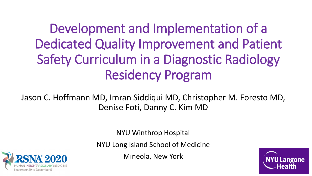Development and Implementation of a Dedicated Quality Improvement and Patient Safety Curriculum in a Diagnostic Radiology Residency Program

Jason C. Hoffmann MD, Imran Siddiqui MD, Christopher M. Foresto MD, Denise Foti, Danny C. Kim MD

NYU Winthrop Hospital

NYU Long Island School of Medicine

Mineola, New York



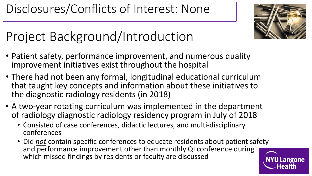

# Project Background/Introduction

- Patient safety, performance improvement, and numerous quality improvement initiatives exist throughout the hospital
- There had not been any formal, longitudinal educational curriculum that taught key concepts and information about these initiatives to the diagnostic radiology residents (in 2018)
- A two-year rotating curriculum was implemented in the department of radiology diagnostic radiology residency program in July of 2018
	- Consisted of case conferences, didactic lectures, and multi-disciplinary conferences
	- Did *not* contain specific conferences to educate residents about patient safety and performance improvement other than monthly QI conference during which missed findings by residents or faculty are discussed NYU Langone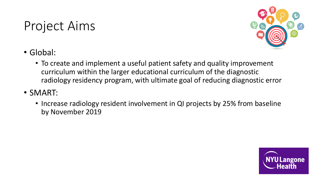## Project Aims



- Global:
	- To create and implement a useful patient safety and quality improvement curriculum within the larger educational curriculum of the diagnostic radiology residency program, with ultimate goal of reducing diagnostic error
- SMART:
	- Increase radiology resident involvement in QI projects by 25% from baseline by November 2019

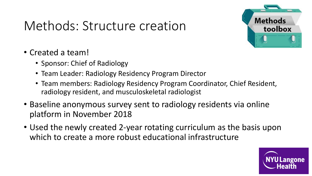#### Methods: Structure creation



- Created a team!
	- Sponsor: Chief of Radiology
	- Team Leader: Radiology Residency Program Director
	- Team members: Radiology Residency Program Coordinator, Chief Resident, radiology resident, and musculoskeletal radiologist
- Baseline anonymous survey sent to radiology residents via online platform in November 2018
- Used the newly created 2-year rotating curriculum as the basis upon which to create a more robust educational infrastructure

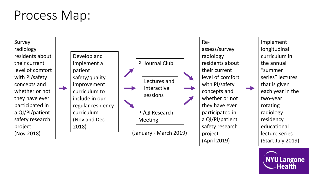#### Process Map:

Survey radiology residents about their current level of comfort with PI/safety concepts and whether or not they have ever participated in a QI/PI/patient safety research project (Nov 2018)

Develop and implement a patient safety/quality improvement curriculum to include in our regular residency curriculum (Nov and Dec 2018)



Reassess/survey radiology residents about their current level of comfort with PI/safety concepts and whether or not they have ever participated in a QI/PI/patient safety research project (April 2019)

Implement longitudinal curriculum in the annual "summer series" lectures that is given each year in the two-year rotating radiology residency educational lecture series (Start July 2019)

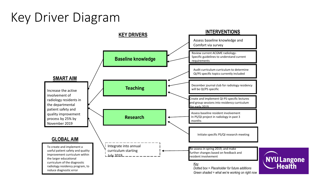## Key Driver Diagram

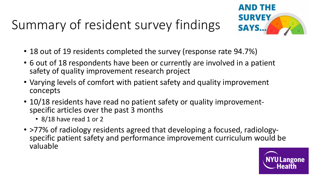# Summary of resident survey findings



- 18 out of 19 residents completed the survey (response rate 94.7%)
- 6 out of 18 respondents have been or currently are involved in a patient safety of quality improvement research project
- Varying levels of comfort with patient safety and quality improvement concepts
- 10/18 residents have read no patient safety or quality improvement- specific articles over the past 3 months
	- 8/18 have read 1 or 2
- >77% of radiology residents agreed that developing a focused, radiology-<br>specific patient safety and performance improvement curriculum would be valuable

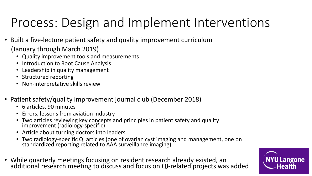# Process: Design and Implement Interventions

- Built a five-lecture patient safety and quality improvement curriculum (January through March 2019)
	- Quality improvement tools and measurements
	- Introduction to Root Cause Analysis
	- Leadership in quality management
	- Structured reporting
	- Non-interpretative skills review
- Patient safety/quality improvement journal club (December 2018)
	- 6 articles, 90 minutes
	- Errors, lessons from aviation industry
	- Two articles reviewing key concepts and principles in patient safety and quality improvement (radiology-specific)
	- Article about turning doctors into leaders
	- Two radiology-specific QI articles (one of ovarian cyst imaging and management, one on standardized reporting related to AAA surveillance imaging)
- While quarterly meetings focusing on resident research already existed, an additional research meeting to discuss and focus on QI-related projects was added

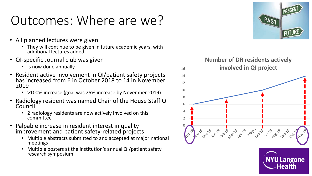## Outcomes: Where are we?

- All planned lectures were given
	- They will continue to be given in future academic years, with additional lectures added
- QI-specific Journal club was given
	- Is now done annually
- Resident active involvement in QI/patient safety projects has increased from 6 in October 2018 to 14 in November 2019
	- >100% increase (goal was 25% increase by November 2019)
- Radiology resident was named Chair of the House Staff QI Council
	- 2 radiology residents are now actively involved on this committee
- Palpable increase in resident interest in quality improvement and patient safety-related projects
	- Multiple abstracts submitted to and accepted at major national meetings
	- Multiple posters at the institution's annual QI/patient safety research symposium